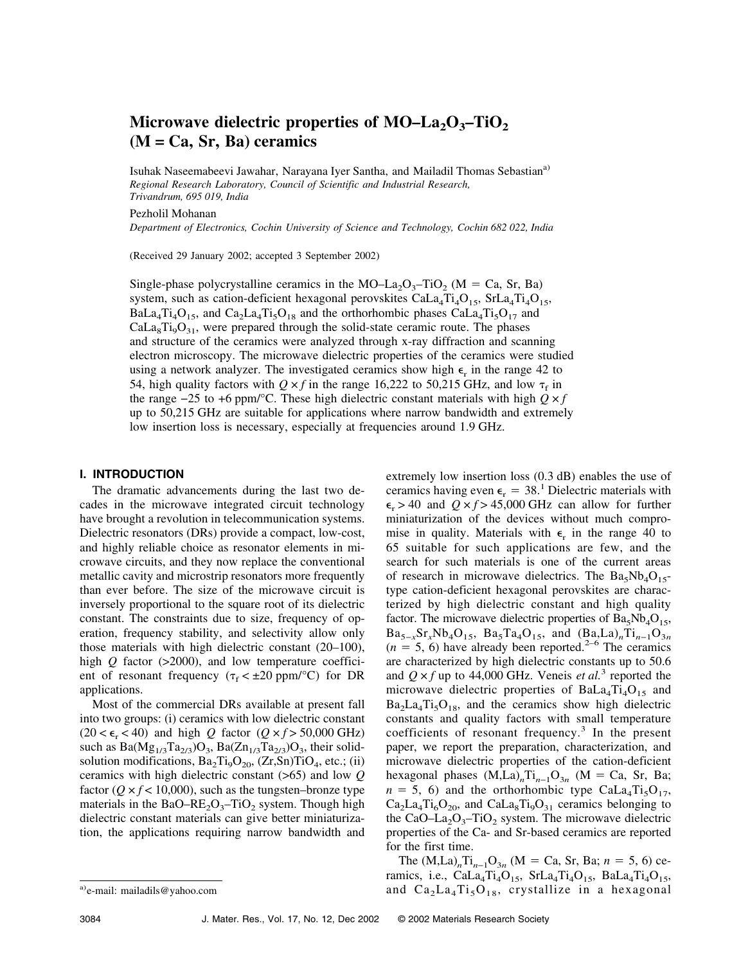# Microwave dielectric properties of MO–La<sub>2</sub>O<sub>3</sub>–TiO<sub>2</sub> **(M = Ca, Sr, Ba) ceramics**

Isuhak Naseemabeevi Jawahar, Narayana Iyer Santha, and Mailadil Thomas Sebastian<sup>a)</sup> *Regional Research Laboratory, Council of Scientific and Industrial Research, Trivandrum, 695 019, India*

Pezholil Mohanan

*Department of Electronics, Cochin University of Science and Technology, Cochin 682 022, India*

(Received 29 January 2002; accepted 3 September 2002)

Single-phase polycrystalline ceramics in the MO–La<sub>2</sub>O<sub>3</sub>–TiO<sub>2</sub> (M = Ca, Sr, Ba) system, such as cation-deficient hexagonal perovskites  $Cala_4Ti_4O_{15}$ ,  $StLa_4Ti_4O_{15}$ , BaLa<sub>4</sub>T<sub>14</sub>O<sub>15</sub>, and Ca<sub>2</sub>La<sub>4</sub>T<sub>15</sub>O<sub>18</sub> and the orthorhombic phases CaLa<sub>4</sub>T<sub>15</sub>O<sub>17</sub> and  $Cala<sub>8</sub>Ti<sub>9</sub>O<sub>31</sub>$ , were prepared through the solid-state ceramic route. The phases and structure of the ceramics were analyzed through x-ray diffraction and scanning electron microscopy. The microwave dielectric properties of the ceramics were studied using a network analyzer. The investigated ceramics show high  $\epsilon_r$  in the range 42 to 54, high quality factors with  $Q \times f$  in the range 16,222 to 50,215 GHz, and low  $\tau_f$  in the range  $-25$  to +6 ppm/°C. These high dielectric constant materials with high  $Q \times f$ up to 50,215 GHz are suitable for applications where narrow bandwidth and extremely low insertion loss is necessary, especially at frequencies around 1.9 GHz.

# **I. INTRODUCTION**

The dramatic advancements during the last two decades in the microwave integrated circuit technology have brought a revolution in telecommunication systems. Dielectric resonators (DRs) provide a compact, low-cost, and highly reliable choice as resonator elements in microwave circuits, and they now replace the conventional metallic cavity and microstrip resonators more frequently than ever before. The size of the microwave circuit is inversely proportional to the square root of its dielectric constant. The constraints due to size, frequency of operation, frequency stability, and selectivity allow only those materials with high dielectric constant (20–100), high *Q* factor (>2000), and low temperature coefficient of resonant frequency ( $\tau_f < \pm 20$  ppm/°C) for DR applications.

Most of the commercial DRs available at present fall into two groups: (i) ceramics with low dielectric constant  $(20 < \epsilon_r < 40)$  and high *Q* factor  $(Q \times f > 50,000 \text{ GHz})$ such as  $Ba(Mg_{1/3}Ta_{2/3})O_3$ ,  $Ba(Zn_{1/3}Ta_{2/3})O_3$ , their solidsolution modifications,  $Ba_2Ti_9O_{20}$ ,  $(Zr,Sn)TiO_4$ , etc.; (ii) ceramics with high dielectric constant (>65) and low *Q* factor ( $Q \times f$  < 10,000), such as the tungsten–bronze type materials in the BaO–RE<sub>2</sub>O<sub>3</sub>–TiO<sub>2</sub> system. Though high dielectric constant materials can give better miniaturization, the applications requiring narrow bandwidth and extremely low insertion loss (0.3 dB) enables the use of ceramics having even  $\epsilon_r = 38$ .<sup>1</sup> Dielectric materials with  $\epsilon_r$  > 40 and  $Q \times f$  > 45,000 GHz can allow for further miniaturization of the devices without much compromise in quality. Materials with  $\epsilon_r$  in the range 40 to 65 suitable for such applications are few, and the search for such materials is one of the current areas of research in microwave dielectrics. The  $Ba_5Nb_4O_{15}$ type cation-deficient hexagonal perovskites are characterized by high dielectric constant and high quality factor. The microwave dielectric properties of  $Ba<sub>5</sub>Nb<sub>4</sub>O<sub>15</sub>$ ,  $Ba_{5-x}Sr_xNb_4O_{15}$ ,  $Ba_5Ta_4O_{15}$ , and  $(Ba,La)_nTi_{n-1}O_{3n}$  $(n = 5, 6)$  have already been reported.<sup>2–6</sup> The ceramics are characterized by high dielectric constants up to 50.6 and  $Q \times f$  up to 44,000 GHz. Veneis *et al.*<sup>3</sup> reported the microwave dielectric properties of  $BaLa<sub>4</sub>Ti<sub>4</sub>O<sub>15</sub>$  and  $Ba<sub>2</sub>La<sub>4</sub>Ti<sub>5</sub>O<sub>18</sub>$ , and the ceramics show high dielectric constants and quality factors with small temperature coefficients of resonant frequency.<sup>3</sup> In the present paper, we report the preparation, characterization, and microwave dielectric properties of the cation-deficient hexagonal phases  $(M,La)_{n}Ti_{n-1}O_{3n}$  (M = Ca, Sr, Ba;  $n = 5$ , 6) and the orthorhombic type CaLa<sub>4</sub>Ti<sub>5</sub>O<sub>17</sub>,  $Ca_2La_4Ti_6O_{20}$ , and  $CaLa_8Ti_9O_{31}$  ceramics belonging to the CaO–La<sub>2</sub>O<sub>3</sub>–TiO<sub>2</sub> system. The microwave dielectric properties of the Ca- and Sr-based ceramics are reported for the first time.

The  $(M,La)_{n}Ti_{n-1}O_{3n}$  (M = Ca, Sr, Ba;  $n = 5, 6$ ) ceramics, i.e.,  $\text{Cala}_4\text{Ti}_4\text{O}_{15}$ ,  $\text{SrLa}_4\text{Ti}_4\text{O}_{15}$ ,  $\text{Bala}_4\text{Ti}_4\text{O}_{15}$ , a) e-mail: mailadils@yahoo.com and  $Ca_2La_4Ti_5O_{18}$ , crystallize in a hexagonal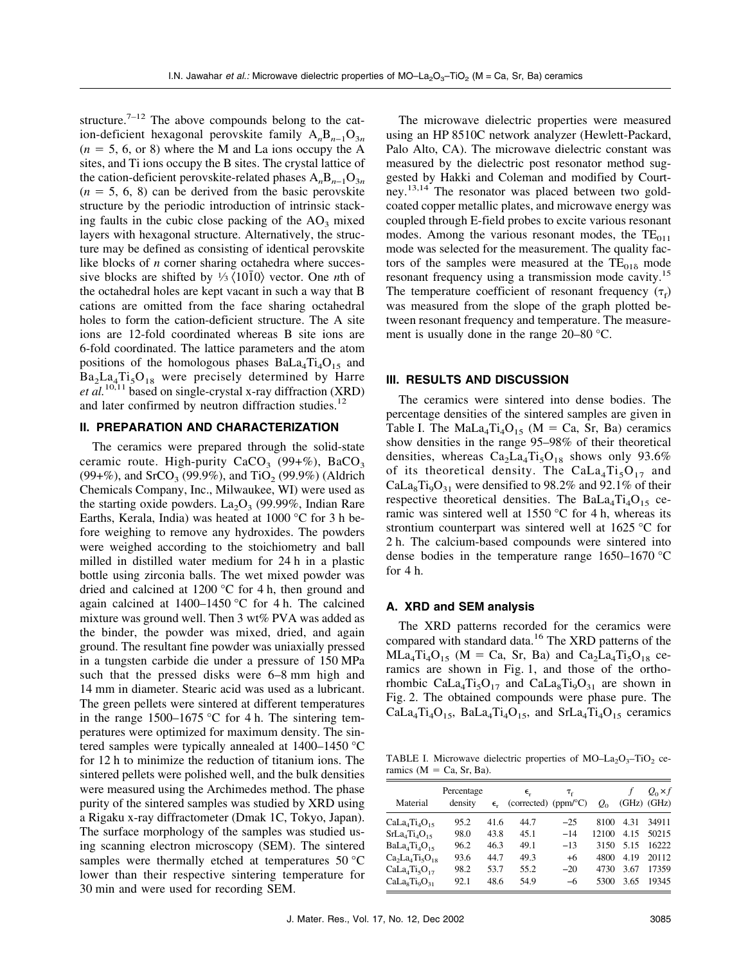structure.<sup>7–12</sup> The above compounds belong to the cation-deficient hexagonal perovskite family  $A_nB_{n-1}O_{3n}$  $(n = 5, 6, \text{ or } 8)$  where the M and La ions occupy the A sites, and Ti ions occupy the B sites. The crystal lattice of the cation-deficient perovskite-related phases A<sub>n</sub>B<sub>n−1</sub>O<sub>3*n*</sub>  $(n = 5, 6, 8)$  can be derived from the basic perovskite structure by the periodic introduction of intrinsic stacking faults in the cubic close packing of the  $AO<sub>3</sub>$  mixed layers with hexagonal structure. Alternatively, the structure may be defined as consisting of identical perovskite like blocks of *n* corner sharing octahedra where successive blocks are shifted by  $\frac{1}{3}$   $\langle 10\overline{1}0 \rangle$  vector. One *n*th of the octahedral holes are kept vacant in such a way that B cations are omitted from the face sharing octahedral holes to form the cation-deficient structure. The A site ions are 12-fold coordinated whereas B site ions are 6-fold coordinated. The lattice parameters and the atom positions of the homologous phases  $BaLa<sub>4</sub>Ti<sub>4</sub>O<sub>15</sub>$  and  $Ba<sub>2</sub>La<sub>4</sub>Ti<sub>5</sub>O<sub>18</sub>$  were precisely determined by Harre *et al.*10,11 based on single-crystal x-ray diffraction (XRD) and later confirmed by neutron diffraction studies.<sup>12</sup>

# **II. PREPARATION AND CHARACTERIZATION**

The ceramics were prepared through the solid-state ceramic route. High-purity  $CaCO<sub>3</sub>$  (99+%), BaCO<sub>3</sub> (99+%), and SrCO<sub>3</sub> (99.9%), and TiO<sub>2</sub> (99.9%) (Aldrich Chemicals Company, Inc., Milwaukee, WI) were used as the starting oxide powders.  $La_2O_3$  (99.99%, Indian Rare Earths, Kerala, India) was heated at 1000 °C for 3 h before weighing to remove any hydroxides. The powders were weighed according to the stoichiometry and ball milled in distilled water medium for 24 h in a plastic bottle using zirconia balls. The wet mixed powder was dried and calcined at 1200 °C for 4 h, then ground and again calcined at  $1400-1450$  °C for 4 h. The calcined mixture was ground well. Then 3 wt% PVA was added as the binder, the powder was mixed, dried, and again ground. The resultant fine powder was uniaxially pressed in a tungsten carbide die under a pressure of 150 MPa such that the pressed disks were 6–8 mm high and 14 mm in diameter. Stearic acid was used as a lubricant. The green pellets were sintered at different temperatures in the range  $1500-1675$  °C for 4 h. The sintering temperatures were optimized for maximum density. The sintered samples were typically annealed at 1400–1450 °C for 12 h to minimize the reduction of titanium ions. The sintered pellets were polished well, and the bulk densities were measured using the Archimedes method. The phase purity of the sintered samples was studied by XRD using a Rigaku x-ray diffractometer (Dmak 1C, Tokyo, Japan). The surface morphology of the samples was studied using scanning electron microscopy (SEM). The sintered samples were thermally etched at temperatures 50 °C lower than their respective sintering temperature for 30 min and were used for recording SEM.

The microwave dielectric properties were measured using an HP 8510C network analyzer (Hewlett-Packard, Palo Alto, CA). The microwave dielectric constant was measured by the dielectric post resonator method suggested by Hakki and Coleman and modified by Courtney.13,14 The resonator was placed between two goldcoated copper metallic plates, and microwave energy was coupled through E-field probes to excite various resonant modes. Among the various resonant modes, the  $TE_{011}$ mode was selected for the measurement. The quality factors of the samples were measured at the  $TE<sub>01δ</sub>$  mode resonant frequency using a transmission mode cavity.<sup>15</sup> The temperature coefficient of resonant frequency  $(\tau_f)$ was measured from the slope of the graph plotted between resonant frequency and temperature. The measurement is usually done in the range 20–80 °C.

#### **III. RESULTS AND DISCUSSION**

The ceramics were sintered into dense bodies. The percentage densities of the sintered samples are given in Table I. The MaLa<sub>4</sub>Ti<sub>4</sub>O<sub>15</sub> (M = Ca, Sr, Ba) ceramics show densities in the range 95–98% of their theoretical densities, whereas  $Ca_2La_4Ti_5O_{18}$  shows only 93.6% of its theoretical density. The CaLa<sub>4</sub>Ti<sub>5</sub>O<sub>17</sub> and CaLa<sub>8</sub>T<sub>i<sub>9</sub>O<sub>31</sub> were densified to 98.2% and 92.1% of their</sub> respective theoretical densities. The Ba $La_4Ti_4O_{15}$  ceramic was sintered well at 1550  $\degree$ C for 4 h, whereas its strontium counterpart was sintered well at 1625 °C for 2 h. The calcium-based compounds were sintered into dense bodies in the temperature range 1650–1670 °C for 4 h.

### **A. XRD and SEM analysis**

The XRD patterns recorded for the ceramics were compared with standard data.<sup>16</sup> The XRD patterns of the  $MLa_4Ti_4O_{15}$  (M = Ca, Sr, Ba) and Ca<sub>2</sub>La<sub>4</sub>Ti<sub>5</sub>O<sub>18</sub> ceramics are shown in Fig. 1, and those of the orthorhombic CaLa<sub>4</sub>Ti<sub>5</sub>O<sub>17</sub> and CaLa<sub>8</sub>Ti<sub>9</sub>O<sub>31</sub> are shown in Fig. 2. The obtained compounds were phase pure. The  $Cala_4Ti_4O_{15}$ , BaLa<sub>4</sub>Ti<sub>4</sub>O<sub>15</sub>, and SrLa<sub>4</sub>Ti<sub>4</sub>O<sub>15</sub> ceramics

TABLE I. Microwave dielectric properties of MO–La<sub>2</sub>O<sub>3</sub>–TiO<sub>2</sub> ceramics ( $M = Ca$ , Sr, Ba).

| Material       | Percentage<br>density | $\epsilon$ | $\epsilon_{r}$<br>(corrected) $(ppm/°C)$ | $T_f$ | $Q_0$ |      | $Q_0 \times f$<br>$(GHz)$ $(GHz)$ |
|----------------|-----------------------|------------|------------------------------------------|-------|-------|------|-----------------------------------|
| $Cala4Ti4O15$  | 95.2                  | 41.6       | 44.7                                     | $-25$ | 8100  | 4.31 | 34911                             |
| $SrLa4Ti4O15$  | 98.0                  | 43.8       | 45.1                                     | $-14$ | 12100 | 4.15 | 50215                             |
| $BaLa4Ti4O15$  | 96.2                  | 46.3       | 49.1                                     | $-13$ | 3150  | 5.15 | 16222                             |
| $Ca2La4Ti5O18$ | 93.6                  | 44.7       | 49.3                                     | $+6$  | 4800  | 4.19 | 20112                             |
| $Cala4Ti5O17$  | 98.2                  | 53.7       | 55.2                                     | $-20$ | 4730  | 3.67 | 17359                             |
| $CaLasTi0O31$  | 92.1                  | 48.6       | 54.9                                     | -6    | 5300  | 3.65 | 19345                             |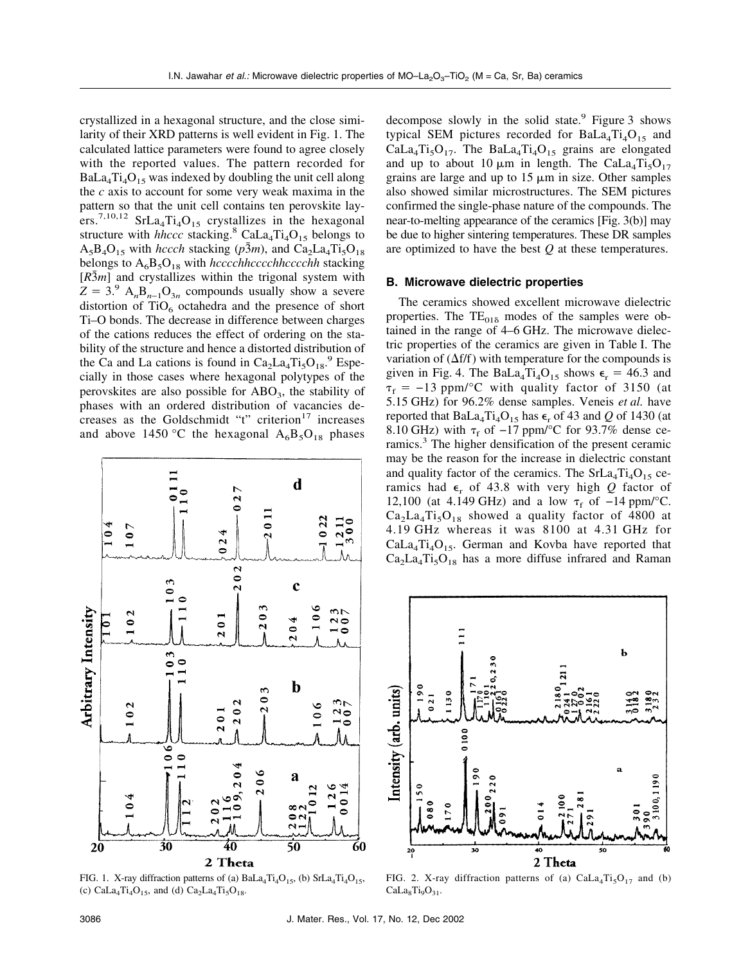crystallized in a hexagonal structure, and the close similarity of their XRD patterns is well evident in Fig. 1. The calculated lattice parameters were found to agree closely with the reported values. The pattern recorded for  $BaLa<sub>4</sub>Ti<sub>4</sub>O<sub>15</sub>$  was indexed by doubling the unit cell along the *c* axis to account for some very weak maxima in the pattern so that the unit cell contains ten perovskite layers.<sup>7,10,12</sup> SrLa<sub>4</sub>Ti<sub>4</sub>O<sub>15</sub> crystallizes in the hexagonal structure with *hhccc* stacking.<sup>8</sup> CaLa<sub>4</sub>Ti<sub>4</sub>O<sub>15</sub> belongs to  $A_5B_4O_{15}$  with *hccch* stacking ( $p\bar{3}m$ ), and  $Ca_2La_4Ti_5O_{18}$ belongs to  $A_6B_5O_{18}$  with *hcccchhcccchhcccchh* stacking  $[R\bar{3}m]$  and crystallizes within the trigonal system with  $Z = 3.9$  A<sub>n</sub>B<sub>n−1</sub>O<sub>3n</sub> compounds usually show a severe distortion of  $TiO<sub>6</sub>$  octahedra and the presence of short Ti–O bonds. The decrease in difference between charges of the cations reduces the effect of ordering on the stability of the structure and hence a distorted distribution of the Ca and La cations is found in  $Ca_2La_4Ti_5O_{18}$ .<sup>9</sup> Especially in those cases where hexagonal polytypes of the perovskites are also possible for  $ABO<sub>3</sub>$ , the stability of phases with an ordered distribution of vacancies decreases as the Goldschmidt "t" criterion $17$  increases and above 1450 °C the hexagonal  $A_6B_5O_{18}$  phases



FIG. 1. X-ray diffraction patterns of (a)  $\text{BaLa}_4\text{Ti}_4\text{O}_{15}$ , (b)  $\text{SrLa}_4\text{Ti}_4\text{O}_{15}$ , (c)  $CaLa_4Ti_4O_{15}$ , and (d)  $Ca_2La_4Ti_5O_{18}$ .

decompose slowly in the solid state.<sup>9</sup> Figure 3 shows typical SEM pictures recorded for  $BaLa<sub>4</sub>Ti<sub>4</sub>O<sub>15</sub>$  and  $CaLa<sub>4</sub>Ti<sub>5</sub>O<sub>17</sub>$ . The Ba $La<sub>4</sub>Ti<sub>4</sub>O<sub>15</sub>$  grains are elongated and up to about 10  $\mu$ m in length. The CaLa<sub>4</sub>Ti<sub>5</sub>O<sub>17</sub> grains are large and up to  $15 \mu m$  in size. Other samples also showed similar microstructures. The SEM pictures confirmed the single-phase nature of the compounds. The near-to-melting appearance of the ceramics [Fig. 3(b)] may be due to higher sintering temperatures. These DR samples are optimized to have the best *Q* at these temperatures.

#### **B. Microwave dielectric properties**

The ceramics showed excellent microwave dielectric properties. The  $TE_{01\delta}$  modes of the samples were obtained in the range of 4–6 GHz. The microwave dielectric properties of the ceramics are given in Table I. The variation of  $(\Delta f/f)$  with temperature for the compounds is given in Fig. 4. The BaLa<sub>4</sub>Ti<sub>4</sub>O<sub>15</sub> shows  $\epsilon_r = 46.3$  and  $\tau_f = -13$  ppm/°C with quality factor of 3150 (at 5.15 GHz) for 96.2% dense samples. Veneis *et al.* have reported that BaLa<sub>4</sub>Ti<sub>4</sub>O<sub>15</sub> has  $\epsilon_r$  of 43 and *Q* of 1430 (at 8.10 GHz) with  $\tau_f$  of −17 ppm/°C for 93.7% dense ceramics.<sup>3</sup> The higher densification of the present ceramic may be the reason for the increase in dielectric constant and quality factor of the ceramics. The  $SrLa<sub>4</sub>Ti<sub>4</sub>O<sub>15</sub>$  ceramics had  $\epsilon_r$  of 43.8 with very high *Q* factor of 12,100 (at 4.149 GHz) and a low  $τ_f$  of -14 ppm/°C.  $Ca<sub>2</sub>La<sub>4</sub>Ti<sub>5</sub>O<sub>18</sub>$  showed a quality factor of 4800 at 4.19 GHz whereas it was 8100 at 4.31 GHz for  $Cala<sub>4</sub>Ti<sub>4</sub>O<sub>15</sub>$ . German and Kovba have reported that  $Ca<sub>2</sub>La<sub>4</sub>Ti<sub>5</sub>O<sub>18</sub>$  has a more diffuse infrared and Raman



FIG. 2. X-ray diffraction patterns of (a)  $CaLa<sub>4</sub>Ti<sub>5</sub>O<sub>17</sub>$  and (b)  $Cala<sub>8</sub>Ti<sub>9</sub>O<sub>31</sub>$ .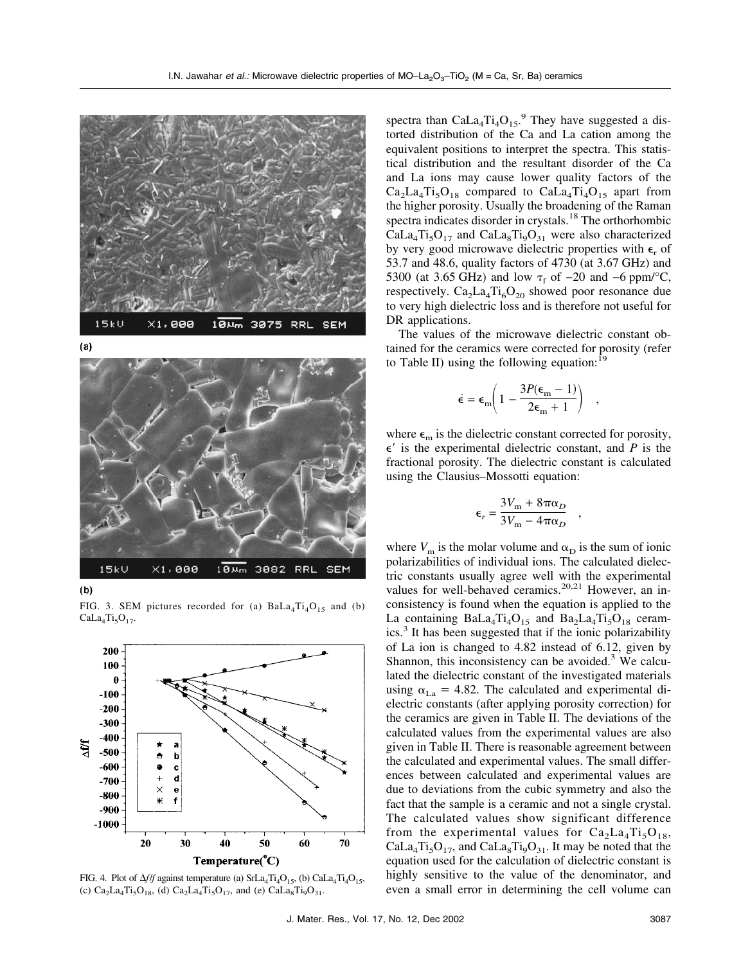

 $(a)$ 



 $(b)$ 

FIG. 3. SEM pictures recorded for (a)  $BaLa<sub>4</sub>Ti<sub>4</sub>O<sub>15</sub>$  and (b)  $CaLa<sub>4</sub>Ti<sub>5</sub>O<sub>17</sub>$ .



FIG. 4. Plot of  $\Delta f/f$  against temperature (a)  $\text{Srl}a_4\text{Ti}_4\text{O}_{15}$ , (b)  $\text{Cal}a_4\text{Ti}_4\text{O}_{15}$ , (c)  $Ca_2La_4Ti_5O_{18}$ , (d)  $Ca_2La_4Ti_5O_{17}$ , and (e)  $CaLa_8Ti_9O_{31}$ .

spectra than  $Cala_4Ti_4O_{15}$ .<sup>9</sup> They have suggested a distorted distribution of the Ca and La cation among the equivalent positions to interpret the spectra. This statistical distribution and the resultant disorder of the Ca and La ions may cause lower quality factors of the  $Ca<sub>2</sub>La<sub>4</sub>Ti<sub>5</sub>O<sub>18</sub>$  compared to  $CaLa<sub>4</sub>Ti<sub>4</sub>O<sub>15</sub>$  apart from the higher porosity. Usually the broadening of the Raman spectra indicates disorder in crystals.<sup>18</sup> The orthorhombic  $Cala<sub>4</sub>Ti<sub>5</sub>O<sub>17</sub>$  and  $Cala<sub>8</sub>Ti<sub>9</sub>O<sub>31</sub>$  were also characterized by very good microwave dielectric properties with  $\epsilon_r$  of 53.7 and 48.6, quality factors of 4730 (at 3.67 GHz) and 5300 (at 3.65 GHz) and low  $\tau_f$  of  $-20$  and  $-6$  ppm/°C, respectively.  $Ca_2La_4Ti_6O_{20}$  showed poor resonance due to very high dielectric loss and is therefore not useful for DR applications.

The values of the microwave dielectric constant obtained for the ceramics were corrected for porosity (refer to Table II) using the following equation:  $19$ 

$$
\dot{\epsilon} = \epsilon_{\rm m} \bigg( 1 - \frac{3P(\epsilon_{\rm m} - 1)}{2\epsilon_{\rm m} + 1} \bigg) \quad ,
$$

where  $\epsilon_{\rm m}$  is the dielectric constant corrected for porosity,  $\epsilon'$  is the experimental dielectric constant, and *P* is the fractional porosity. The dielectric constant is calculated using the Clausius–Mossotti equation:

$$
\epsilon_r = \frac{3V_m + 8\pi\alpha_D}{3V_m - 4\pi\alpha_D}
$$

,

where  $V_{\text{m}}$  is the molar volume and  $\alpha_{\text{D}}$  is the sum of ionic polarizabilities of individual ions. The calculated dielectric constants usually agree well with the experimental values for well-behaved ceramics.<sup>20,21</sup> However, an inconsistency is found when the equation is applied to the La containing  $BaLa<sub>4</sub>Ti<sub>4</sub>O<sub>15</sub>$  and  $Ba<sub>2</sub>La<sub>4</sub>Ti<sub>5</sub>O<sub>18</sub>$  ceramics.<sup>3</sup> It has been suggested that if the ionic polarizability of La ion is changed to 4.82 instead of 6.12, given by Shannon, this inconsistency can be avoided. $3$  We calculated the dielectric constant of the investigated materials using  $\alpha_{\text{La}} = 4.82$ . The calculated and experimental dielectric constants (after applying porosity correction) for the ceramics are given in Table II. The deviations of the calculated values from the experimental values are also given in Table II. There is reasonable agreement between the calculated and experimental values. The small differences between calculated and experimental values are due to deviations from the cubic symmetry and also the fact that the sample is a ceramic and not a single crystal. The calculated values show significant difference from the experimental values for  $Ca_2La_4Ti_5O_{18}$ ,  $Cala_4Ti_5O_{17}$ , and  $Cala_8Ti_9O_{31}$ . It may be noted that the equation used for the calculation of dielectric constant is highly sensitive to the value of the denominator, and even a small error in determining the cell volume can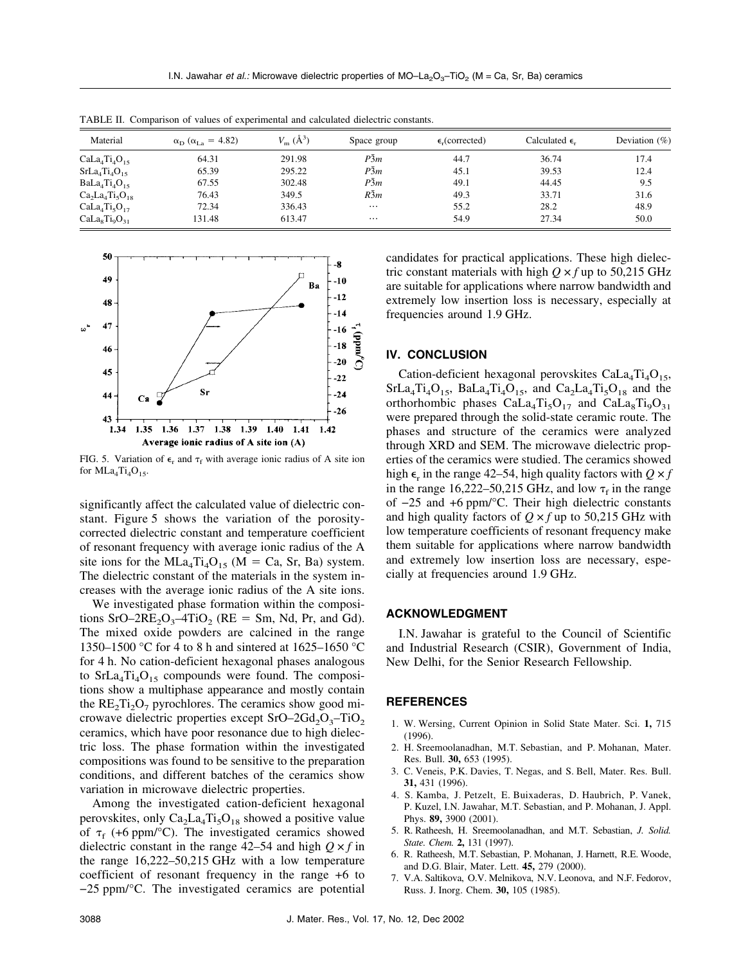| Material       | $\alpha_{\rm D}$ ( $\alpha_{\rm La}$ = 4.82) | $V_{\rm m}$ ( $\rm \AA^3$ ) | Space group | $\epsilon$ <sub>c</sub> (corrected) | Calculated $\epsilon$ . | Deviation $(\%)$ |
|----------------|----------------------------------------------|-----------------------------|-------------|-------------------------------------|-------------------------|------------------|
| $Cala4Ti4O15$  | 64.31                                        | 291.98                      | P3m         | 44.7                                | 36.74                   | 17.4             |
| $SrLa4Ti4O15$  | 65.39                                        | 295.22                      | P3m         | 45.1                                | 39.53                   | 12.4             |
| $BaLa4Ti4O15$  | 67.55                                        | 302.48                      | $P\bar{3}m$ | 49.1                                | 44.45                   | 9.5              |
| $Ca2La4Ti5O18$ | 76.43                                        | 349.5                       | $R\bar{3}m$ | 49.3                                | 33.71                   | 31.6             |
| $CaLa4Ti5O17$  | 72.34                                        | 336.43                      | $\cdots$    | 55.2                                | 28.2                    | 48.9             |
| $CaLasTi0O31$  | 131.48                                       | 613.47                      | $\cdots$    | 54.9                                | 27.34                   | 50.0             |

TABLE II. Comparison of values of experimental and calculated dielectric constants.



FIG. 5. Variation of  $\epsilon_r$  and  $\tau_f$  with average ionic radius of A site ion for  $MLa_4Ti_4O_{15}$ .

significantly affect the calculated value of dielectric constant. Figure 5 shows the variation of the porositycorrected dielectric constant and temperature coefficient of resonant frequency with average ionic radius of the A site ions for the MLa<sub>4</sub>Ti<sub>4</sub>O<sub>15</sub> (M = Ca, Sr, Ba) system. The dielectric constant of the materials in the system increases with the average ionic radius of the A site ions.

We investigated phase formation within the compositions  $SrO-2RE<sub>2</sub>O<sub>3</sub> - 4TiO<sub>2</sub>$  (RE = Sm, Nd, Pr, and Gd). The mixed oxide powders are calcined in the range 1350–1500 °C for 4 to 8 h and sintered at 1625–1650 °C for 4 h. No cation-deficient hexagonal phases analogous to  $SrLa<sub>4</sub>Ti<sub>4</sub>O<sub>15</sub>$  compounds were found. The compositions show a multiphase appearance and mostly contain the  $RE_2Ti_2O_7$  pyrochlores. The ceramics show good microwave dielectric properties except  $SrO-2Gd<sub>2</sub>O<sub>3</sub>$ -TiO<sub>2</sub> ceramics, which have poor resonance due to high dielectric loss. The phase formation within the investigated compositions was found to be sensitive to the preparation conditions, and different batches of the ceramics show variation in microwave dielectric properties.

Among the investigated cation-deficient hexagonal perovskites, only  $Ca_2La_4Ti_5O_{18}$  showed a positive value of  $\tau_f$  (+6 ppm/°C). The investigated ceramics showed dielectric constant in the range  $42-54$  and high  $Q \times f$  in the range 16,222–50,215 GHz with a low temperature coefficient of resonant frequency in the range +6 to −25 ppm/°C. The investigated ceramics are potential candidates for practical applications. These high dielectric constant materials with high  $Q \times f$  up to 50,215 GHz are suitable for applications where narrow bandwidth and extremely low insertion loss is necessary, especially at frequencies around 1.9 GHz.

### **IV. CONCLUSION**

Cation-deficient hexagonal perovskites  $CaLa<sub>4</sub>Ti<sub>4</sub>O<sub>15</sub>$ ,  $SrLa_4Ti_4O_{15}$ ,  $BaLa_4Ti_4O_{15}$ , and  $Ca_2La_4Ti_5O_{18}$  and the orthorhombic phases  $CaLa<sub>4</sub>Ti<sub>5</sub>O<sub>17</sub>$  and  $CaLa<sub>8</sub>Ti<sub>9</sub>O<sub>31</sub>$ were prepared through the solid-state ceramic route. The phases and structure of the ceramics were analyzed through XRD and SEM. The microwave dielectric properties of the ceramics were studied. The ceramics showed high  $\epsilon_r$  in the range 42–54, high quality factors with  $Q \times f$ in the range  $16,222-50,215$  GHz, and low  $\tau_f$  in the range of −25 and +6 ppm/°C. Their high dielectric constants and high quality factors of  $Q \times f$  up to 50,215 GHz with low temperature coefficients of resonant frequency make them suitable for applications where narrow bandwidth and extremely low insertion loss are necessary, especially at frequencies around 1.9 GHz.

# **ACKNOWLEDGMENT**

I.N. Jawahar is grateful to the Council of Scientific and Industrial Research (CSIR), Government of India, New Delhi, for the Senior Research Fellowship.

#### **REFERENCES**

- 1. W. Wersing, Current Opinion in Solid State Mater. Sci. **1,** 715 (1996).
- 2. H. Sreemoolanadhan, M.T. Sebastian, and P. Mohanan, Mater. Res. Bull. **30,** 653 (1995).
- 3. C. Veneis, P.K. Davies, T. Negas, and S. Bell, Mater. Res. Bull. **31,** 431 (1996).
- 4. S. Kamba, J. Petzelt, E. Buixaderas, D. Haubrich, P. Vanek, P. Kuzel, I.N. Jawahar, M.T. Sebastian, and P. Mohanan, J. Appl. Phys. **89,** 3900 (2001).
- 5. R. Ratheesh, H. Sreemoolanadhan, and M.T. Sebastian, *J. Solid. State. Chem.* **2,** 131 (1997).
- 6. R. Ratheesh, M.T. Sebastian, P. Mohanan, J. Harnett, R.E. Woode, and D.G. Blair, Mater. Lett. **45,** 279 (2000).
- 7. V.A. Saltikova, O.V. Melnikova, N.V. Leonova, and N.F. Fedorov, Russ. J. Inorg. Chem. **30,** 105 (1985).